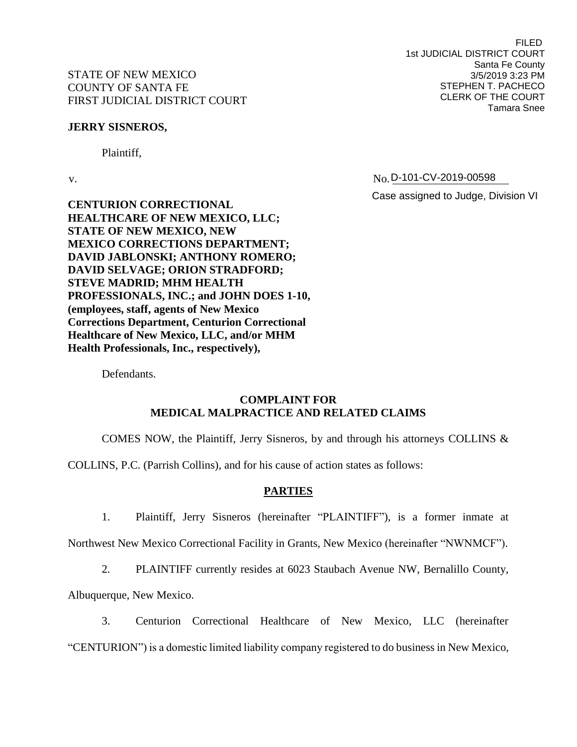# **JERRY SISNEROS,**

Plaintiff,

FILED 1st JUDICIAL DISTRICT COURT Santa Fe County 3/5/2019 3:23 PM STEPHEN T. PACHECO CLERK OF THE COURT Tamara Snee

v. No. No. D-101-CV-2019-00598

Case assigned to Judge, Division VI

**CENTURION CORRECTIONAL HEALTHCARE OF NEW MEXICO, LLC; STATE OF NEW MEXICO, NEW MEXICO CORRECTIONS DEPARTMENT; DAVID JABLONSKI; ANTHONY ROMERO; DAVID SELVAGE; ORION STRADFORD; STEVE MADRID; MHM HEALTH PROFESSIONALS, INC.; and JOHN DOES 1-10, (employees, staff, agents of New Mexico Corrections Department, Centurion Correctional Healthcare of New Mexico, LLC, and/or MHM Health Professionals, Inc., respectively),**

Defendants.

# **COMPLAINT FOR MEDICAL MALPRACTICE AND RELATED CLAIMS**

COMES NOW, the Plaintiff, Jerry Sisneros, by and through his attorneys COLLINS &

COLLINS, P.C. (Parrish Collins), and for his cause of action states as follows:

# **PARTIES**

1. Plaintiff, Jerry Sisneros (hereinafter "PLAINTIFF"), is a former inmate at

Northwest New Mexico Correctional Facility in Grants, New Mexico (hereinafter "NWNMCF").

2. PLAINTIFF currently resides at 6023 Staubach Avenue NW, Bernalillo County,

Albuquerque, New Mexico.

3. Centurion Correctional Healthcare of New Mexico, LLC (hereinafter "CENTURION") is a domestic limited liability company registered to do business in New Mexico,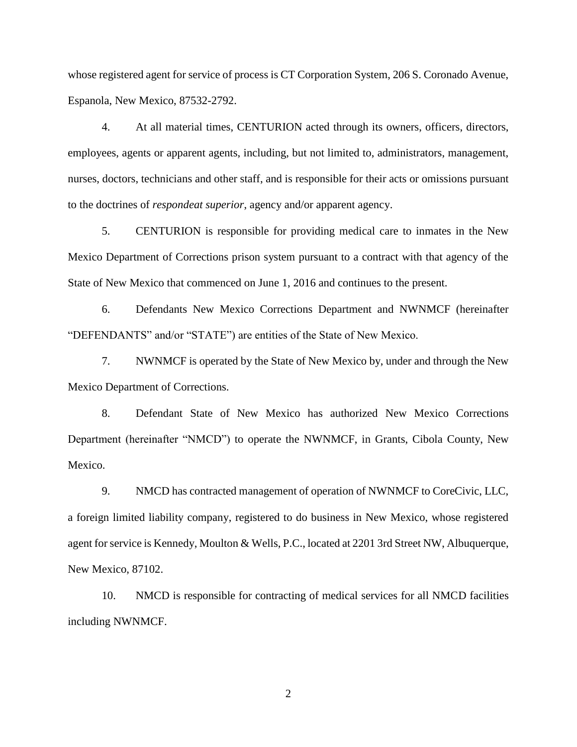whose registered agent for service of process is CT Corporation System, 206 S. Coronado Avenue, Espanola, New Mexico, 87532-2792.

4. At all material times, CENTURION acted through its owners, officers, directors, employees, agents or apparent agents, including, but not limited to, administrators, management, nurses, doctors, technicians and other staff, and is responsible for their acts or omissions pursuant to the doctrines of *respondeat superior*, agency and/or apparent agency.

5. CENTURION is responsible for providing medical care to inmates in the New Mexico Department of Corrections prison system pursuant to a contract with that agency of the State of New Mexico that commenced on June 1, 2016 and continues to the present.

6. Defendants New Mexico Corrections Department and NWNMCF (hereinafter "DEFENDANTS" and/or "STATE") are entities of the State of New Mexico.

7. NWNMCF is operated by the State of New Mexico by, under and through the New Mexico Department of Corrections.

8. Defendant State of New Mexico has authorized New Mexico Corrections Department (hereinafter "NMCD") to operate the NWNMCF, in Grants, Cibola County, New Mexico.

9. NMCD has contracted management of operation of NWNMCF to CoreCivic, LLC, a foreign limited liability company, registered to do business in New Mexico, whose registered agent for service is Kennedy, Moulton & Wells, P.C., located at 2201 3rd Street NW, Albuquerque, New Mexico, 87102.

10. NMCD is responsible for contracting of medical services for all NMCD facilities including NWNMCF.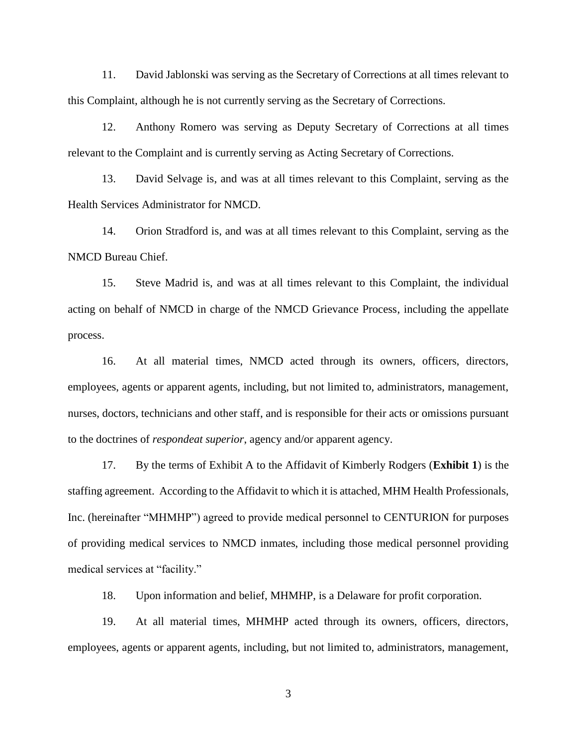11. David Jablonski was serving as the Secretary of Corrections at all times relevant to this Complaint, although he is not currently serving as the Secretary of Corrections.

12. Anthony Romero was serving as Deputy Secretary of Corrections at all times relevant to the Complaint and is currently serving as Acting Secretary of Corrections.

13. David Selvage is, and was at all times relevant to this Complaint, serving as the Health Services Administrator for NMCD.

14. Orion Stradford is, and was at all times relevant to this Complaint, serving as the NMCD Bureau Chief.

15. Steve Madrid is, and was at all times relevant to this Complaint, the individual acting on behalf of NMCD in charge of the NMCD Grievance Process, including the appellate process.

16. At all material times, NMCD acted through its owners, officers, directors, employees, agents or apparent agents, including, but not limited to, administrators, management, nurses, doctors, technicians and other staff, and is responsible for their acts or omissions pursuant to the doctrines of *respondeat superior*, agency and/or apparent agency.

17. By the terms of Exhibit A to the Affidavit of Kimberly Rodgers (**Exhibit 1**) is the staffing agreement. According to the Affidavit to which it is attached, MHM Health Professionals, Inc. (hereinafter "MHMHP") agreed to provide medical personnel to CENTURION for purposes of providing medical services to NMCD inmates, including those medical personnel providing medical services at "facility."

18. Upon information and belief, MHMHP, is a Delaware for profit corporation.

19. At all material times, MHMHP acted through its owners, officers, directors, employees, agents or apparent agents, including, but not limited to, administrators, management,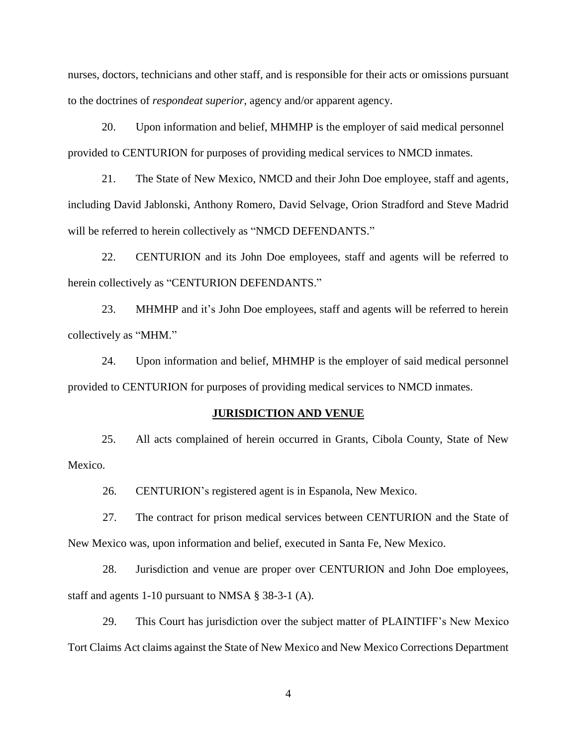nurses, doctors, technicians and other staff, and is responsible for their acts or omissions pursuant to the doctrines of *respondeat superior*, agency and/or apparent agency.

20. Upon information and belief, MHMHP is the employer of said medical personnel provided to CENTURION for purposes of providing medical services to NMCD inmates.

21. The State of New Mexico, NMCD and their John Doe employee, staff and agents, including David Jablonski, Anthony Romero, David Selvage, Orion Stradford and Steve Madrid will be referred to herein collectively as "NMCD DEFENDANTS."

22. CENTURION and its John Doe employees, staff and agents will be referred to herein collectively as "CENTURION DEFENDANTS."

23. MHMHP and it's John Doe employees, staff and agents will be referred to herein collectively as "MHM."

24. Upon information and belief, MHMHP is the employer of said medical personnel provided to CENTURION for purposes of providing medical services to NMCD inmates.

#### **JURISDICTION AND VENUE**

25. All acts complained of herein occurred in Grants, Cibola County, State of New Mexico.

26. CENTURION's registered agent is in Espanola, New Mexico.

27. The contract for prison medical services between CENTURION and the State of New Mexico was, upon information and belief, executed in Santa Fe, New Mexico.

28. Jurisdiction and venue are proper over CENTURION and John Doe employees, staff and agents 1-10 pursuant to NMSA § 38-3-1 (A).

29. This Court has jurisdiction over the subject matter of PLAINTIFF's New Mexico Tort Claims Act claims against the State of New Mexico and New Mexico Corrections Department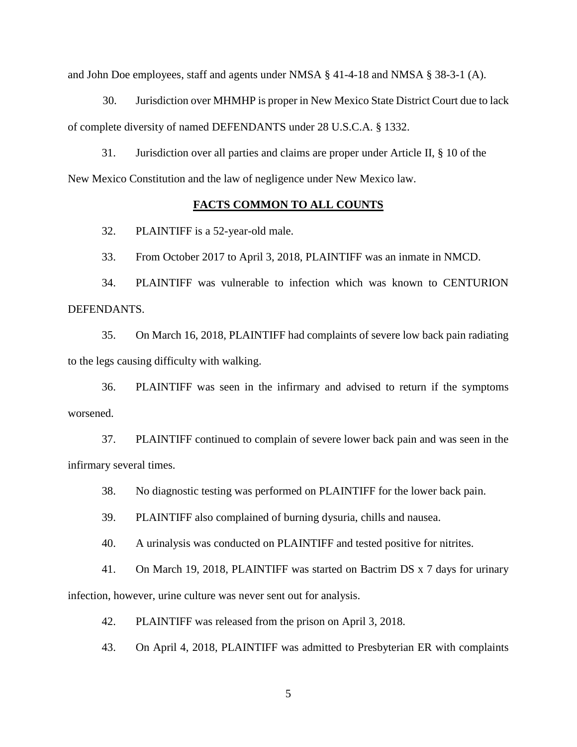and John Doe employees, staff and agents under NMSA § 41-4-18 and NMSA § 38-3-1 (A).

30. Jurisdiction over MHMHP is proper in New Mexico State District Court due to lack of complete diversity of named DEFENDANTS under 28 U.S.C.A. § 1332.

31. Jurisdiction over all parties and claims are proper under Article II, § 10 of the New Mexico Constitution and the law of negligence under New Mexico law.

#### **FACTS COMMON TO ALL COUNTS**

32. PLAINTIFF is a 52-year-old male.

33. From October 2017 to April 3, 2018, PLAINTIFF was an inmate in NMCD.

34. PLAINTIFF was vulnerable to infection which was known to CENTURION DEFENDANTS.

35. On March 16, 2018, PLAINTIFF had complaints of severe low back pain radiating to the legs causing difficulty with walking.

36. PLAINTIFF was seen in the infirmary and advised to return if the symptoms worsened.

37. PLAINTIFF continued to complain of severe lower back pain and was seen in the infirmary several times.

38. No diagnostic testing was performed on PLAINTIFF for the lower back pain.

39. PLAINTIFF also complained of burning dysuria, chills and nausea.

40. A urinalysis was conducted on PLAINTIFF and tested positive for nitrites.

41. On March 19, 2018, PLAINTIFF was started on Bactrim DS x 7 days for urinary infection, however, urine culture was never sent out for analysis.

42. PLAINTIFF was released from the prison on April 3, 2018.

43. On April 4, 2018, PLAINTIFF was admitted to Presbyterian ER with complaints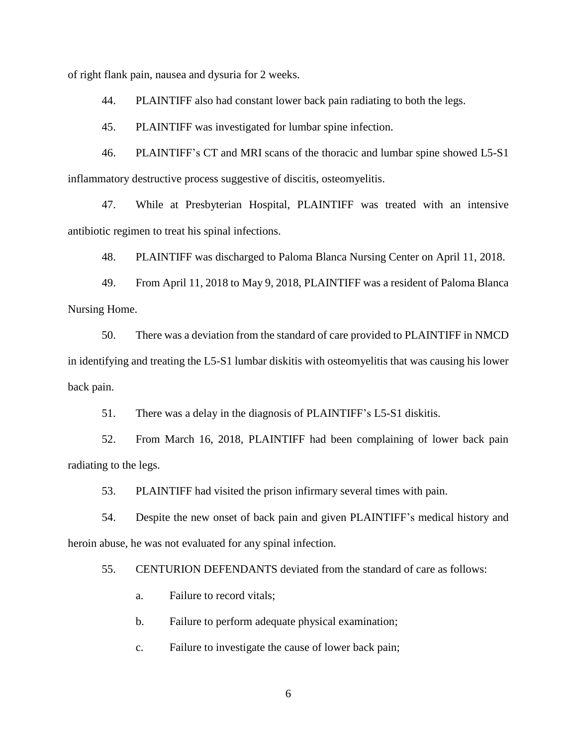of right flank pain, nausea and dysuria for 2 weeks.

44. PLAINTIFF also had constant lower back pain radiating to both the legs.

45. PLAINTIFF was investigated for lumbar spine infection.

46. PLAINTIFF's CT and MRI scans of the thoracic and lumbar spine showed L5-S1 inflammatory destructive process suggestive of discitis, osteomyelitis.

47. While at Presbyterian Hospital, PLAINTIFF was treated with an intensive antibiotic regimen to treat his spinal infections.

48. PLAINTIFF was discharged to Paloma Blanca Nursing Center on April 11, 2018.

49. From April 11, 2018 to May 9, 2018, PLAINTIFF was a resident of Paloma Blanca Nursing Home.

50. There was a deviation from the standard of care provided to PLAINTIFF in NMCD in identifying and treating the L5-S1 lumbar diskitis with osteomyelitis that was causing his lower back pain.

51. There was a delay in the diagnosis of PLAINTIFF's L5-S1 diskitis.

52. From March 16, 2018, PLAINTIFF had been complaining of lower back pain radiating to the legs.

53. PLAINTIFF had visited the prison infirmary several times with pain.

54. Despite the new onset of back pain and given PLAINTIFF's medical history and heroin abuse, he was not evaluated for any spinal infection.

55. CENTURION DEFENDANTS deviated from the standard of care as follows:

- a. Failure to record vitals;
- b. Failure to perform adequate physical examination;
- c. Failure to investigate the cause of lower back pain;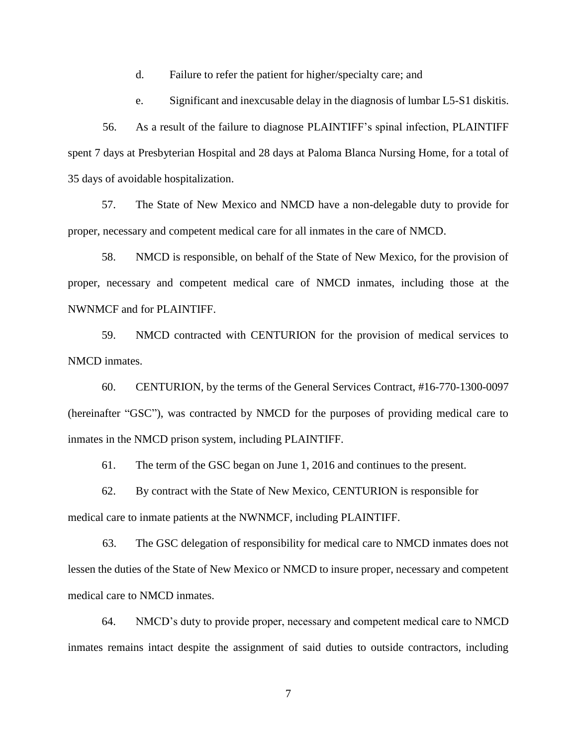d. Failure to refer the patient for higher/specialty care; and

e. Significant and inexcusable delay in the diagnosis of lumbar L5-S1 diskitis.

56. As a result of the failure to diagnose PLAINTIFF's spinal infection, PLAINTIFF spent 7 days at Presbyterian Hospital and 28 days at Paloma Blanca Nursing Home, for a total of 35 days of avoidable hospitalization.

57. The State of New Mexico and NMCD have a non-delegable duty to provide for proper, necessary and competent medical care for all inmates in the care of NMCD.

58. NMCD is responsible, on behalf of the State of New Mexico, for the provision of proper, necessary and competent medical care of NMCD inmates, including those at the NWNMCF and for PLAINTIFF.

59. NMCD contracted with CENTURION for the provision of medical services to NMCD inmates.

60. CENTURION, by the terms of the General Services Contract, #16-770-1300-0097 (hereinafter "GSC"), was contracted by NMCD for the purposes of providing medical care to inmates in the NMCD prison system, including PLAINTIFF.

61. The term of the GSC began on June 1, 2016 and continues to the present.

62. By contract with the State of New Mexico, CENTURION is responsible for medical care to inmate patients at the NWNMCF, including PLAINTIFF.

63. The GSC delegation of responsibility for medical care to NMCD inmates does not lessen the duties of the State of New Mexico or NMCD to insure proper, necessary and competent medical care to NMCD inmates.

64. NMCD's duty to provide proper, necessary and competent medical care to NMCD inmates remains intact despite the assignment of said duties to outside contractors, including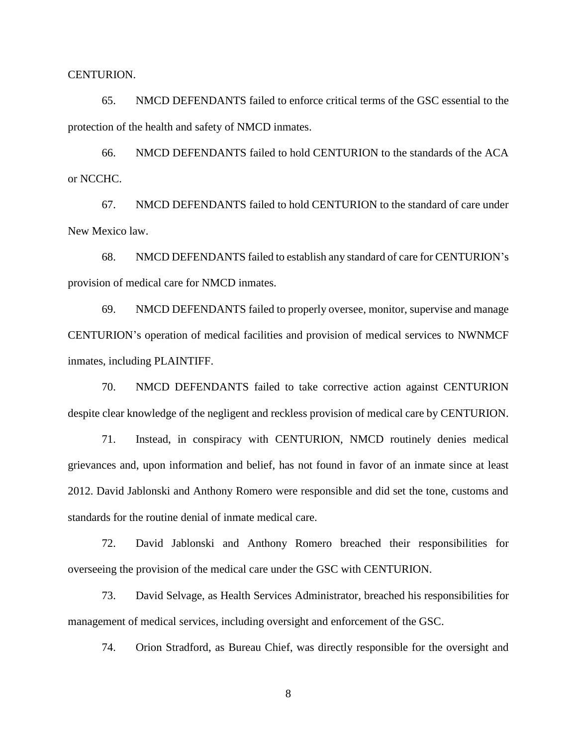#### CENTURION.

65. NMCD DEFENDANTS failed to enforce critical terms of the GSC essential to the protection of the health and safety of NMCD inmates.

66. NMCD DEFENDANTS failed to hold CENTURION to the standards of the ACA or NCCHC.

67. NMCD DEFENDANTS failed to hold CENTURION to the standard of care under New Mexico law.

68. NMCD DEFENDANTS failed to establish any standard of care for CENTURION's provision of medical care for NMCD inmates.

69. NMCD DEFENDANTS failed to properly oversee, monitor, supervise and manage CENTURION's operation of medical facilities and provision of medical services to NWNMCF inmates, including PLAINTIFF.

70. NMCD DEFENDANTS failed to take corrective action against CENTURION despite clear knowledge of the negligent and reckless provision of medical care by CENTURION.

71. Instead, in conspiracy with CENTURION, NMCD routinely denies medical grievances and, upon information and belief, has not found in favor of an inmate since at least 2012. David Jablonski and Anthony Romero were responsible and did set the tone, customs and standards for the routine denial of inmate medical care.

72. David Jablonski and Anthony Romero breached their responsibilities for overseeing the provision of the medical care under the GSC with CENTURION.

73. David Selvage, as Health Services Administrator, breached his responsibilities for management of medical services, including oversight and enforcement of the GSC.

74. Orion Stradford, as Bureau Chief, was directly responsible for the oversight and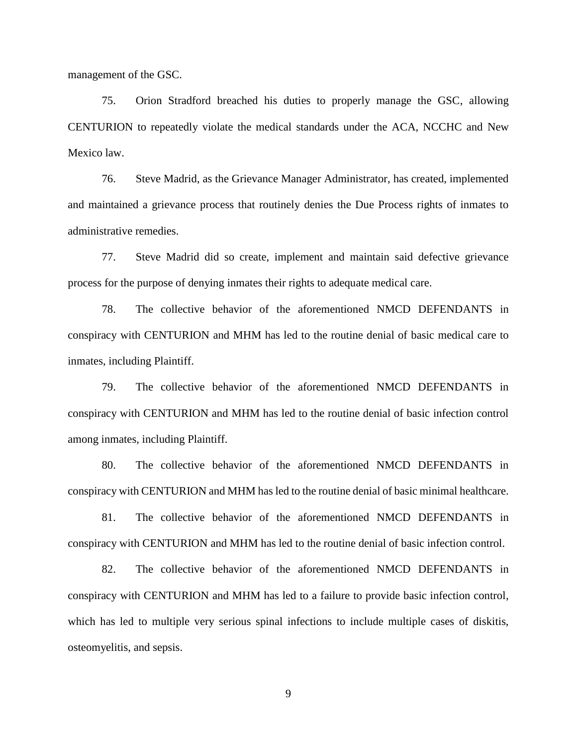management of the GSC.

75. Orion Stradford breached his duties to properly manage the GSC, allowing CENTURION to repeatedly violate the medical standards under the ACA, NCCHC and New Mexico law.

76. Steve Madrid, as the Grievance Manager Administrator, has created, implemented and maintained a grievance process that routinely denies the Due Process rights of inmates to administrative remedies.

77. Steve Madrid did so create, implement and maintain said defective grievance process for the purpose of denying inmates their rights to adequate medical care.

78. The collective behavior of the aforementioned NMCD DEFENDANTS in conspiracy with CENTURION and MHM has led to the routine denial of basic medical care to inmates, including Plaintiff.

79. The collective behavior of the aforementioned NMCD DEFENDANTS in conspiracy with CENTURION and MHM has led to the routine denial of basic infection control among inmates, including Plaintiff.

80. The collective behavior of the aforementioned NMCD DEFENDANTS in conspiracy with CENTURION and MHM has led to the routine denial of basic minimal healthcare.

81. The collective behavior of the aforementioned NMCD DEFENDANTS in conspiracy with CENTURION and MHM has led to the routine denial of basic infection control.

82. The collective behavior of the aforementioned NMCD DEFENDANTS in conspiracy with CENTURION and MHM has led to a failure to provide basic infection control, which has led to multiple very serious spinal infections to include multiple cases of diskitis, osteomyelitis, and sepsis.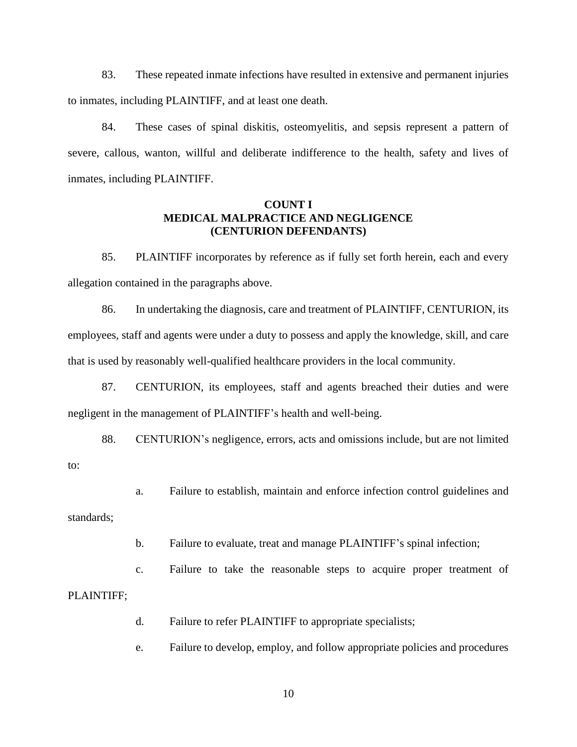83. These repeated inmate infections have resulted in extensive and permanent injuries to inmates, including PLAINTIFF, and at least one death.

84. These cases of spinal diskitis, osteomyelitis, and sepsis represent a pattern of severe, callous, wanton, willful and deliberate indifference to the health, safety and lives of inmates, including PLAINTIFF.

# **COUNT I MEDICAL MALPRACTICE AND NEGLIGENCE (CENTURION DEFENDANTS)**

85. PLAINTIFF incorporates by reference as if fully set forth herein, each and every allegation contained in the paragraphs above.

86. In undertaking the diagnosis, care and treatment of PLAINTIFF, CENTURION, its employees, staff and agents were under a duty to possess and apply the knowledge, skill, and care that is used by reasonably well-qualified healthcare providers in the local community.

87. CENTURION, its employees, staff and agents breached their duties and were negligent in the management of PLAINTIFF's health and well-being.

88. CENTURION's negligence, errors, acts and omissions include, but are not limited to:

a. Failure to establish, maintain and enforce infection control guidelines and

standards;

b. Failure to evaluate, treat and manage PLAINTIFF's spinal infection;

c. Failure to take the reasonable steps to acquire proper treatment of PLAINTIFF;

d. Failure to refer PLAINTIFF to appropriate specialists;

e. Failure to develop, employ, and follow appropriate policies and procedures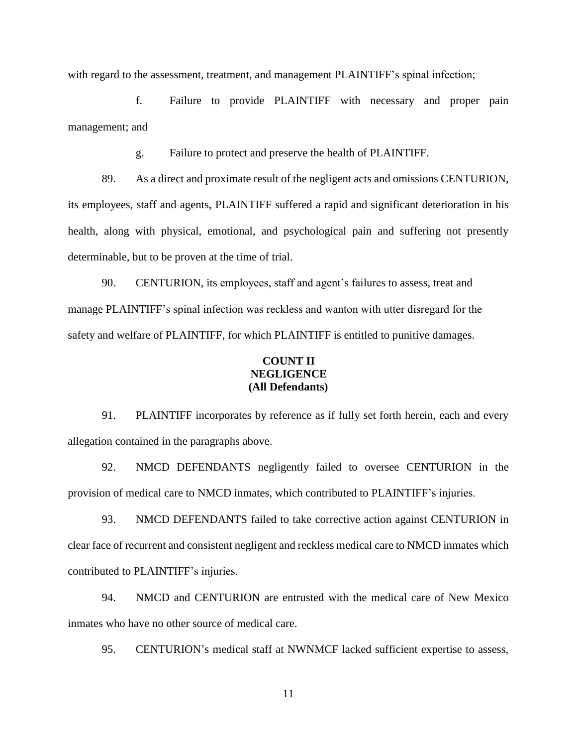with regard to the assessment, treatment, and management PLAINTIFF's spinal infection;

f. Failure to provide PLAINTIFF with necessary and proper pain management; and

g. Failure to protect and preserve the health of PLAINTIFF.

89. As a direct and proximate result of the negligent acts and omissions CENTURION, its employees, staff and agents, PLAINTIFF suffered a rapid and significant deterioration in his health, along with physical, emotional, and psychological pain and suffering not presently determinable, but to be proven at the time of trial.

90. CENTURION, its employees, staff and agent's failures to assess, treat and manage PLAINTIFF's spinal infection was reckless and wanton with utter disregard for the safety and welfare of PLAINTIFF, for which PLAINTIFF is entitled to punitive damages.

# **COUNT II NEGLIGENCE (All Defendants)**

91. PLAINTIFF incorporates by reference as if fully set forth herein, each and every allegation contained in the paragraphs above.

92. NMCD DEFENDANTS negligently failed to oversee CENTURION in the provision of medical care to NMCD inmates, which contributed to PLAINTIFF's injuries.

93. NMCD DEFENDANTS failed to take corrective action against CENTURION in clear face of recurrent and consistent negligent and reckless medical care to NMCD inmates which contributed to PLAINTIFF's injuries.

94. NMCD and CENTURION are entrusted with the medical care of New Mexico inmates who have no other source of medical care.

95. CENTURION's medical staff at NWNMCF lacked sufficient expertise to assess,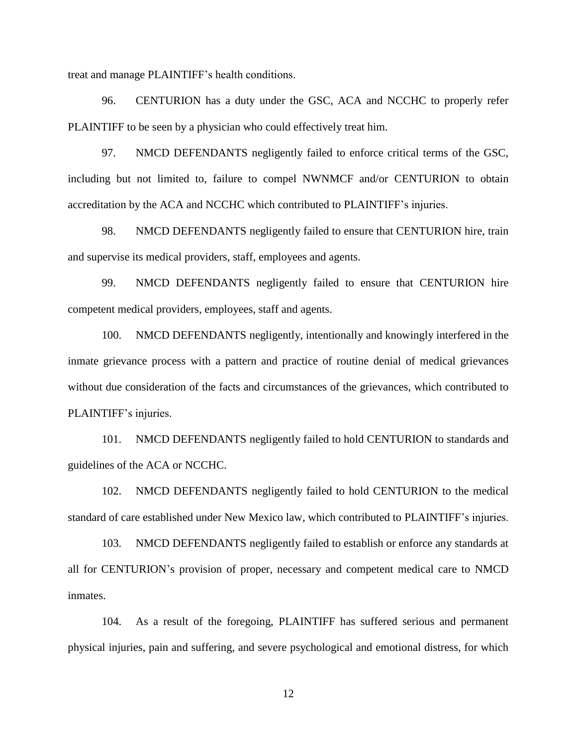treat and manage PLAINTIFF's health conditions.

96. CENTURION has a duty under the GSC, ACA and NCCHC to properly refer PLAINTIFF to be seen by a physician who could effectively treat him.

97. NMCD DEFENDANTS negligently failed to enforce critical terms of the GSC, including but not limited to, failure to compel NWNMCF and/or CENTURION to obtain accreditation by the ACA and NCCHC which contributed to PLAINTIFF's injuries.

98. NMCD DEFENDANTS negligently failed to ensure that CENTURION hire, train and supervise its medical providers, staff, employees and agents.

99. NMCD DEFENDANTS negligently failed to ensure that CENTURION hire competent medical providers, employees, staff and agents.

100. NMCD DEFENDANTS negligently, intentionally and knowingly interfered in the inmate grievance process with a pattern and practice of routine denial of medical grievances without due consideration of the facts and circumstances of the grievances, which contributed to PLAINTIFF's injuries.

101. NMCD DEFENDANTS negligently failed to hold CENTURION to standards and guidelines of the ACA or NCCHC.

102. NMCD DEFENDANTS negligently failed to hold CENTURION to the medical standard of care established under New Mexico law, which contributed to PLAINTIFF's injuries.

103. NMCD DEFENDANTS negligently failed to establish or enforce any standards at all for CENTURION's provision of proper, necessary and competent medical care to NMCD inmates.

104. As a result of the foregoing, PLAINTIFF has suffered serious and permanent physical injuries, pain and suffering, and severe psychological and emotional distress, for which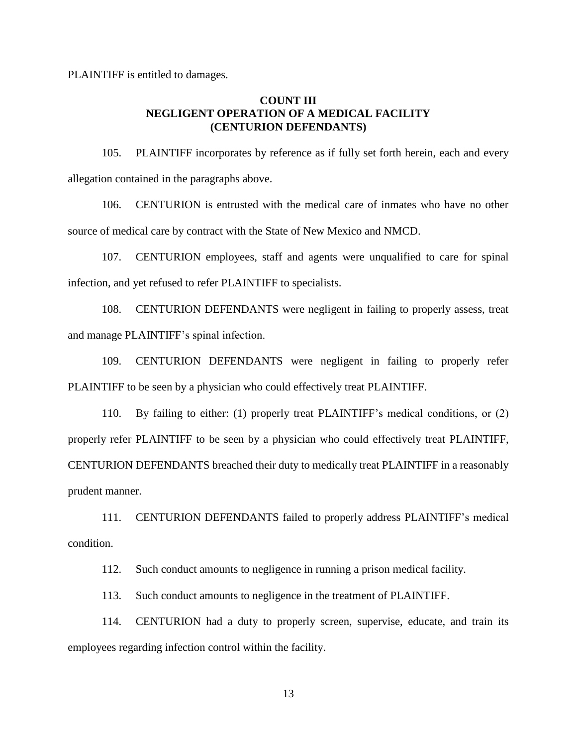PLAINTIFF is entitled to damages.

# **COUNT III NEGLIGENT OPERATION OF A MEDICAL FACILITY (CENTURION DEFENDANTS)**

105. PLAINTIFF incorporates by reference as if fully set forth herein, each and every allegation contained in the paragraphs above.

106. CENTURION is entrusted with the medical care of inmates who have no other source of medical care by contract with the State of New Mexico and NMCD.

107. CENTURION employees, staff and agents were unqualified to care for spinal infection, and yet refused to refer PLAINTIFF to specialists.

108. CENTURION DEFENDANTS were negligent in failing to properly assess, treat and manage PLAINTIFF's spinal infection.

109. CENTURION DEFENDANTS were negligent in failing to properly refer PLAINTIFF to be seen by a physician who could effectively treat PLAINTIFF.

110. By failing to either: (1) properly treat PLAINTIFF's medical conditions, or (2) properly refer PLAINTIFF to be seen by a physician who could effectively treat PLAINTIFF, CENTURION DEFENDANTS breached their duty to medically treat PLAINTIFF in a reasonably prudent manner.

111. CENTURION DEFENDANTS failed to properly address PLAINTIFF's medical condition.

112. Such conduct amounts to negligence in running a prison medical facility.

113. Such conduct amounts to negligence in the treatment of PLAINTIFF.

114. CENTURION had a duty to properly screen, supervise, educate, and train its employees regarding infection control within the facility.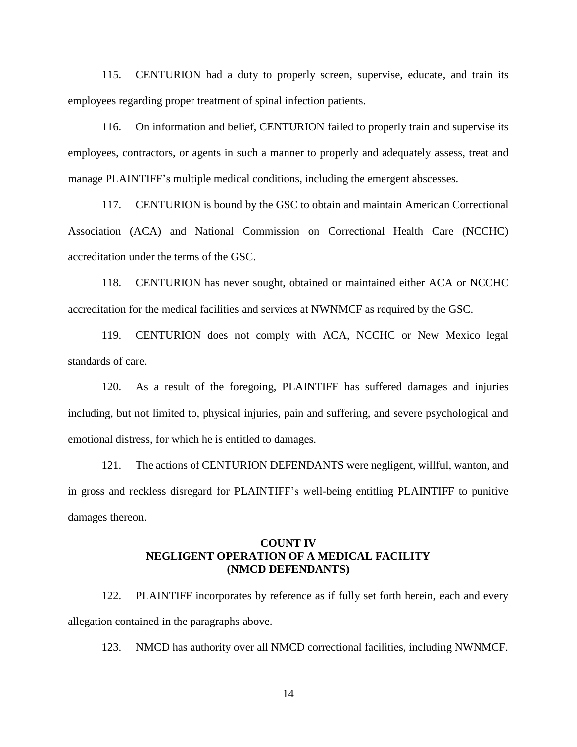115. CENTURION had a duty to properly screen, supervise, educate, and train its employees regarding proper treatment of spinal infection patients.

116. On information and belief, CENTURION failed to properly train and supervise its employees, contractors, or agents in such a manner to properly and adequately assess, treat and manage PLAINTIFF's multiple medical conditions, including the emergent abscesses.

117. CENTURION is bound by the GSC to obtain and maintain American Correctional Association (ACA) and National Commission on Correctional Health Care (NCCHC) accreditation under the terms of the GSC.

118. CENTURION has never sought, obtained or maintained either ACA or NCCHC accreditation for the medical facilities and services at NWNMCF as required by the GSC.

119. CENTURION does not comply with ACA, NCCHC or New Mexico legal standards of care.

120. As a result of the foregoing, PLAINTIFF has suffered damages and injuries including, but not limited to, physical injuries, pain and suffering, and severe psychological and emotional distress, for which he is entitled to damages.

121. The actions of CENTURION DEFENDANTS were negligent, willful, wanton, and in gross and reckless disregard for PLAINTIFF's well-being entitling PLAINTIFF to punitive damages thereon.

# **COUNT IV NEGLIGENT OPERATION OF A MEDICAL FACILITY (NMCD DEFENDANTS)**

122. PLAINTIFF incorporates by reference as if fully set forth herein, each and every allegation contained in the paragraphs above.

123. NMCD has authority over all NMCD correctional facilities, including NWNMCF.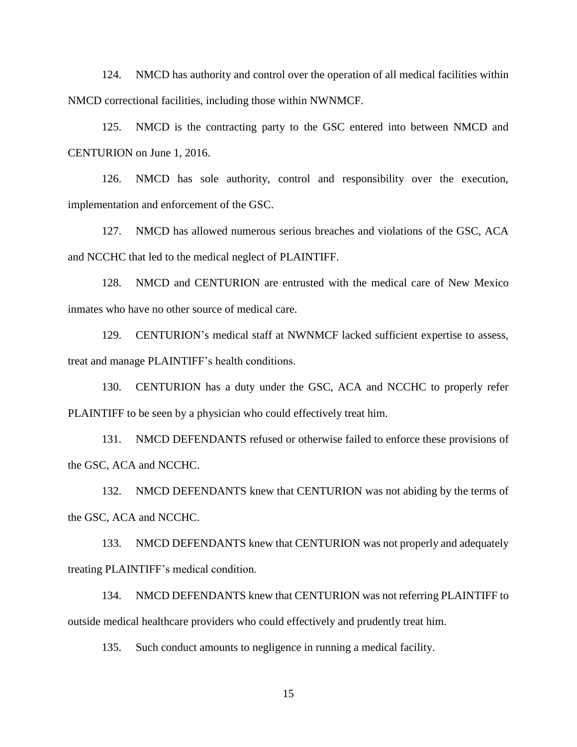124. NMCD has authority and control over the operation of all medical facilities within NMCD correctional facilities, including those within NWNMCF.

125. NMCD is the contracting party to the GSC entered into between NMCD and CENTURION on June 1, 2016.

126. NMCD has sole authority, control and responsibility over the execution, implementation and enforcement of the GSC.

127. NMCD has allowed numerous serious breaches and violations of the GSC, ACA and NCCHC that led to the medical neglect of PLAINTIFF.

128. NMCD and CENTURION are entrusted with the medical care of New Mexico inmates who have no other source of medical care.

129. CENTURION's medical staff at NWNMCF lacked sufficient expertise to assess, treat and manage PLAINTIFF's health conditions.

130. CENTURION has a duty under the GSC, ACA and NCCHC to properly refer PLAINTIFF to be seen by a physician who could effectively treat him.

131. NMCD DEFENDANTS refused or otherwise failed to enforce these provisions of the GSC, ACA and NCCHC.

132. NMCD DEFENDANTS knew that CENTURION was not abiding by the terms of the GSC, ACA and NCCHC.

133. NMCD DEFENDANTS knew that CENTURION was not properly and adequately treating PLAINTIFF's medical condition.

134. NMCD DEFENDANTS knew that CENTURION was not referring PLAINTIFF to outside medical healthcare providers who could effectively and prudently treat him.

135. Such conduct amounts to negligence in running a medical facility.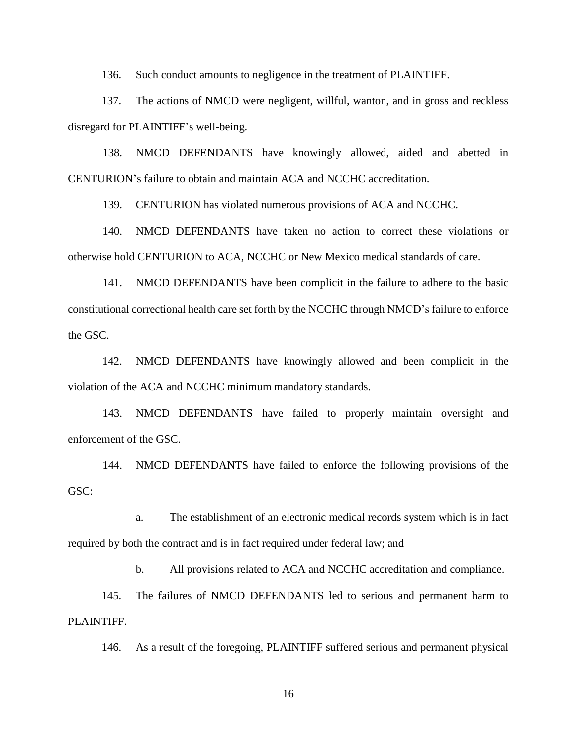136. Such conduct amounts to negligence in the treatment of PLAINTIFF.

137. The actions of NMCD were negligent, willful, wanton, and in gross and reckless disregard for PLAINTIFF's well-being.

138. NMCD DEFENDANTS have knowingly allowed, aided and abetted in CENTURION's failure to obtain and maintain ACA and NCCHC accreditation.

139. CENTURION has violated numerous provisions of ACA and NCCHC.

140. NMCD DEFENDANTS have taken no action to correct these violations or otherwise hold CENTURION to ACA, NCCHC or New Mexico medical standards of care.

141. NMCD DEFENDANTS have been complicit in the failure to adhere to the basic constitutional correctional health care set forth by the NCCHC through NMCD's failure to enforce the GSC.

142. NMCD DEFENDANTS have knowingly allowed and been complicit in the violation of the ACA and NCCHC minimum mandatory standards.

143. NMCD DEFENDANTS have failed to properly maintain oversight and enforcement of the GSC.

144. NMCD DEFENDANTS have failed to enforce the following provisions of the GSC:

a. The establishment of an electronic medical records system which is in fact required by both the contract and is in fact required under federal law; and

b. All provisions related to ACA and NCCHC accreditation and compliance.

145. The failures of NMCD DEFENDANTS led to serious and permanent harm to PLAINTIFF.

146. As a result of the foregoing, PLAINTIFF suffered serious and permanent physical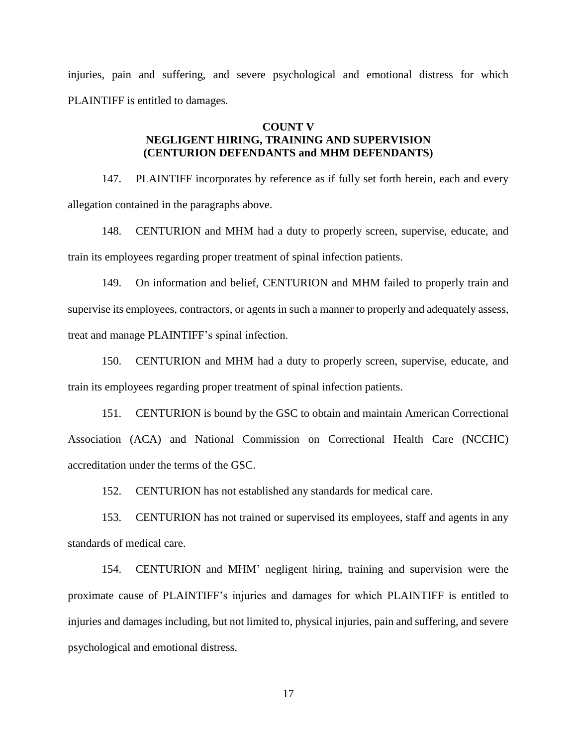injuries, pain and suffering, and severe psychological and emotional distress for which PLAINTIFF is entitled to damages.

#### **COUNT V**

# **NEGLIGENT HIRING, TRAINING AND SUPERVISION (CENTURION DEFENDANTS and MHM DEFENDANTS)**

147. PLAINTIFF incorporates by reference as if fully set forth herein, each and every allegation contained in the paragraphs above.

148. CENTURION and MHM had a duty to properly screen, supervise, educate, and train its employees regarding proper treatment of spinal infection patients.

149. On information and belief, CENTURION and MHM failed to properly train and supervise its employees, contractors, or agents in such a manner to properly and adequately assess, treat and manage PLAINTIFF's spinal infection.

150. CENTURION and MHM had a duty to properly screen, supervise, educate, and train its employees regarding proper treatment of spinal infection patients.

151. CENTURION is bound by the GSC to obtain and maintain American Correctional Association (ACA) and National Commission on Correctional Health Care (NCCHC) accreditation under the terms of the GSC.

152. CENTURION has not established any standards for medical care.

153. CENTURION has not trained or supervised its employees, staff and agents in any standards of medical care.

154. CENTURION and MHM' negligent hiring, training and supervision were the proximate cause of PLAINTIFF's injuries and damages for which PLAINTIFF is entitled to injuries and damages including, but not limited to, physical injuries, pain and suffering, and severe psychological and emotional distress.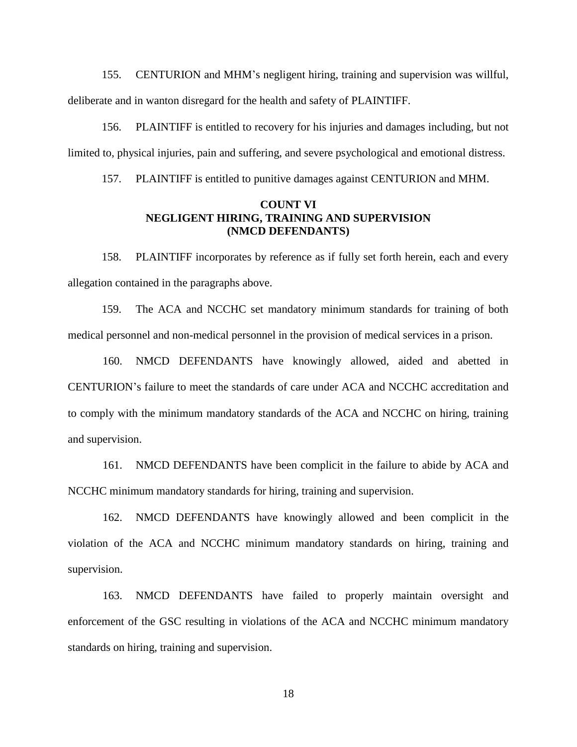155. CENTURION and MHM's negligent hiring, training and supervision was willful, deliberate and in wanton disregard for the health and safety of PLAINTIFF.

156. PLAINTIFF is entitled to recovery for his injuries and damages including, but not limited to, physical injuries, pain and suffering, and severe psychological and emotional distress.

157. PLAINTIFF is entitled to punitive damages against CENTURION and MHM.

# **COUNT VI NEGLIGENT HIRING, TRAINING AND SUPERVISION (NMCD DEFENDANTS)**

158. PLAINTIFF incorporates by reference as if fully set forth herein, each and every allegation contained in the paragraphs above.

159. The ACA and NCCHC set mandatory minimum standards for training of both medical personnel and non-medical personnel in the provision of medical services in a prison.

160. NMCD DEFENDANTS have knowingly allowed, aided and abetted in CENTURION's failure to meet the standards of care under ACA and NCCHC accreditation and to comply with the minimum mandatory standards of the ACA and NCCHC on hiring, training and supervision.

161. NMCD DEFENDANTS have been complicit in the failure to abide by ACA and NCCHC minimum mandatory standards for hiring, training and supervision.

162. NMCD DEFENDANTS have knowingly allowed and been complicit in the violation of the ACA and NCCHC minimum mandatory standards on hiring, training and supervision.

163. NMCD DEFENDANTS have failed to properly maintain oversight and enforcement of the GSC resulting in violations of the ACA and NCCHC minimum mandatory standards on hiring, training and supervision.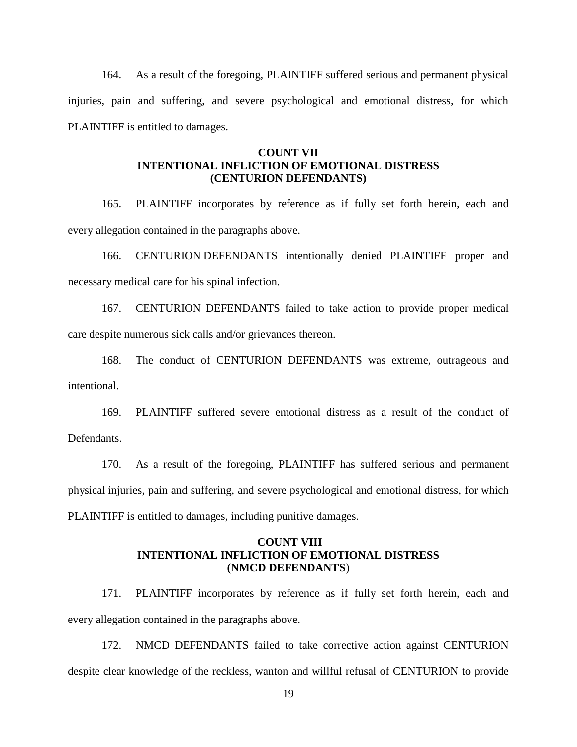164. As a result of the foregoing, PLAINTIFF suffered serious and permanent physical injuries, pain and suffering, and severe psychological and emotional distress, for which PLAINTIFF is entitled to damages.

#### **COUNT VII INTENTIONAL INFLICTION OF EMOTIONAL DISTRESS (CENTURION DEFENDANTS)**

165. PLAINTIFF incorporates by reference as if fully set forth herein, each and every allegation contained in the paragraphs above.

166. CENTURION DEFENDANTS intentionally denied PLAINTIFF proper and necessary medical care for his spinal infection.

167. CENTURION DEFENDANTS failed to take action to provide proper medical care despite numerous sick calls and/or grievances thereon.

168. The conduct of CENTURION DEFENDANTS was extreme, outrageous and intentional.

169. PLAINTIFF suffered severe emotional distress as a result of the conduct of Defendants.

170. As a result of the foregoing, PLAINTIFF has suffered serious and permanent physical injuries, pain and suffering, and severe psychological and emotional distress, for which PLAINTIFF is entitled to damages, including punitive damages.

## **COUNT VIII INTENTIONAL INFLICTION OF EMOTIONAL DISTRESS (NMCD DEFENDANTS**)

171. PLAINTIFF incorporates by reference as if fully set forth herein, each and every allegation contained in the paragraphs above.

172. NMCD DEFENDANTS failed to take corrective action against CENTURION despite clear knowledge of the reckless, wanton and willful refusal of CENTURION to provide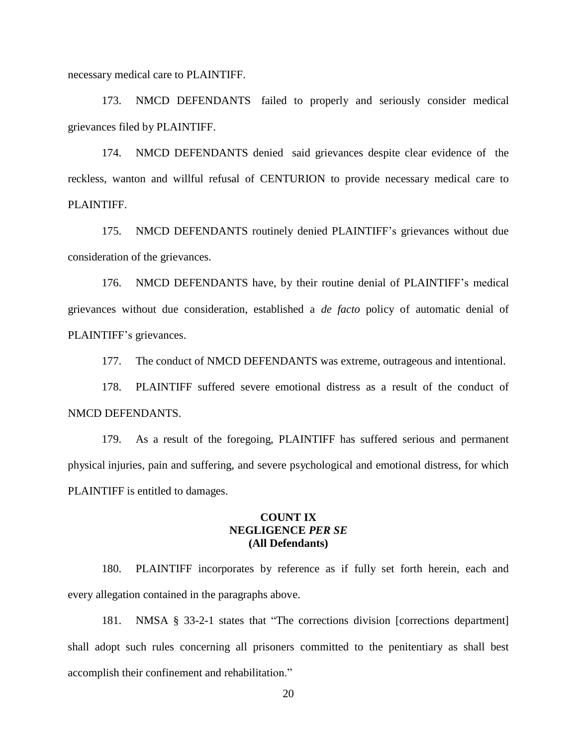necessary medical care to PLAINTIFF.

173. NMCD DEFENDANTS failed to properly and seriously consider medical grievances filed by PLAINTIFF.

174. NMCD DEFENDANTS denied said grievances despite clear evidence of the reckless, wanton and willful refusal of CENTURION to provide necessary medical care to PLAINTIFF.

175. NMCD DEFENDANTS routinely denied PLAINTIFF's grievances without due consideration of the grievances.

176. NMCD DEFENDANTS have, by their routine denial of PLAINTIFF's medical grievances without due consideration, established a *de facto* policy of automatic denial of PLAINTIFF's grievances.

177. The conduct of NMCD DEFENDANTS was extreme, outrageous and intentional.

178. PLAINTIFF suffered severe emotional distress as a result of the conduct of NMCD DEFENDANTS.

179. As a result of the foregoing, PLAINTIFF has suffered serious and permanent physical injuries, pain and suffering, and severe psychological and emotional distress, for which PLAINTIFF is entitled to damages.

#### **COUNT IX NEGLIGENCE** *PER SE* **(All Defendants)**

180. PLAINTIFF incorporates by reference as if fully set forth herein, each and every allegation contained in the paragraphs above.

181. NMSA § 33-2-1 states that "The corrections division [corrections department] shall adopt such rules concerning all prisoners committed to the penitentiary as shall best accomplish their confinement and rehabilitation."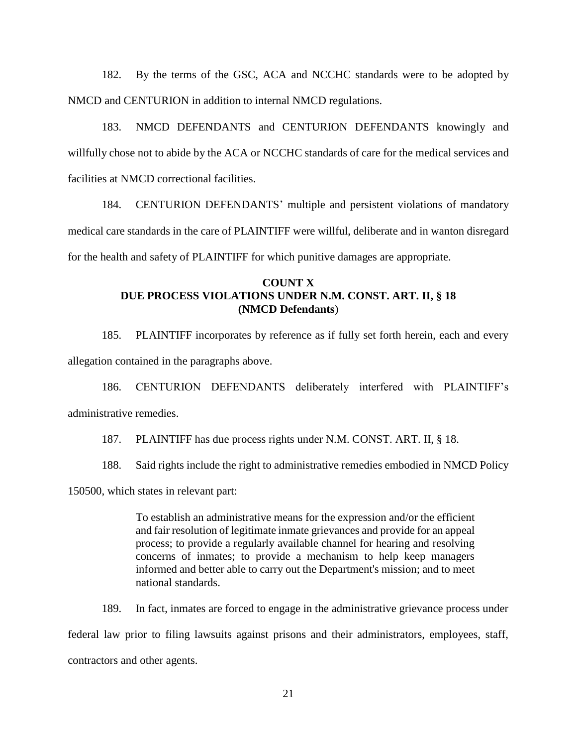182. By the terms of the GSC, ACA and NCCHC standards were to be adopted by NMCD and CENTURION in addition to internal NMCD regulations.

183. NMCD DEFENDANTS and CENTURION DEFENDANTS knowingly and willfully chose not to abide by the ACA or NCCHC standards of care for the medical services and facilities at NMCD correctional facilities.

184. CENTURION DEFENDANTS' multiple and persistent violations of mandatory medical care standards in the care of PLAINTIFF were willful, deliberate and in wanton disregard for the health and safety of PLAINTIFF for which punitive damages are appropriate.

# **COUNT X DUE PROCESS VIOLATIONS UNDER N.M. CONST. ART. II, § 18 (NMCD Defendants**)

185. PLAINTIFF incorporates by reference as if fully set forth herein, each and every allegation contained in the paragraphs above.

186. CENTURION DEFENDANTS deliberately interfered with PLAINTIFF's administrative remedies.

187. PLAINTIFF has due process rights under N.M. CONST. ART. II, § 18.

188. Said rights include the right to administrative remedies embodied in NMCD Policy

150500, which states in relevant part:

To establish an administrative means for the expression and/or the efficient and fair resolution of legitimate inmate grievances and provide for an appeal process; to provide a regularly available channel for hearing and resolving concerns of inmates; to provide a mechanism to help keep managers informed and better able to carry out the Department's mission; and to meet national standards.

189. In fact, inmates are forced to engage in the administrative grievance process under federal law prior to filing lawsuits against prisons and their administrators, employees, staff, contractors and other agents.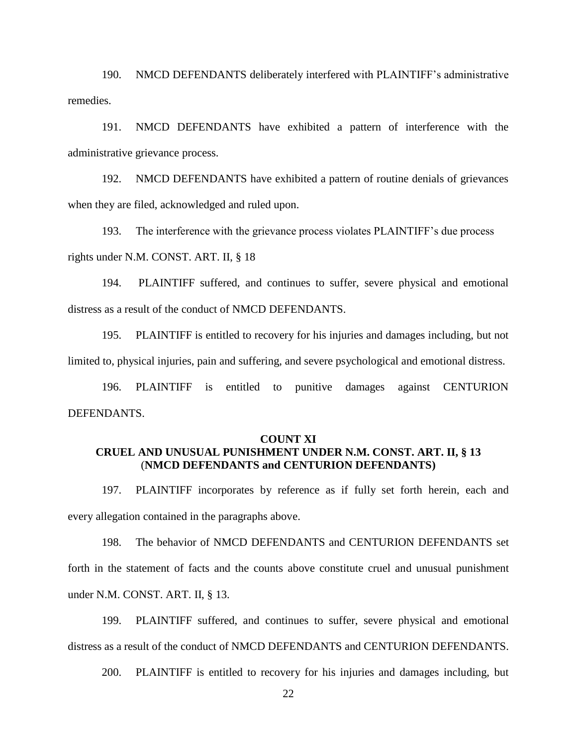190. NMCD DEFENDANTS deliberately interfered with PLAINTIFF's administrative remedies.

191. NMCD DEFENDANTS have exhibited a pattern of interference with the administrative grievance process.

192. NMCD DEFENDANTS have exhibited a pattern of routine denials of grievances when they are filed, acknowledged and ruled upon.

193. The interference with the grievance process violates PLAINTIFF's due process rights under N.M. CONST. ART. II, § 18

194. PLAINTIFF suffered, and continues to suffer, severe physical and emotional distress as a result of the conduct of NMCD DEFENDANTS.

195. PLAINTIFF is entitled to recovery for his injuries and damages including, but not limited to, physical injuries, pain and suffering, and severe psychological and emotional distress.

196. PLAINTIFF is entitled to punitive damages against CENTURION DEFENDANTS.

#### **COUNT XI**

#### **CRUEL AND UNUSUAL PUNISHMENT UNDER N.M. CONST. ART. II, § 13** (**NMCD DEFENDANTS and CENTURION DEFENDANTS)**

197. PLAINTIFF incorporates by reference as if fully set forth herein, each and every allegation contained in the paragraphs above.

198. The behavior of NMCD DEFENDANTS and CENTURION DEFENDANTS set forth in the statement of facts and the counts above constitute cruel and unusual punishment under N.M. CONST. ART. II, § 13.

199. PLAINTIFF suffered, and continues to suffer, severe physical and emotional distress as a result of the conduct of NMCD DEFENDANTS and CENTURION DEFENDANTS.

200. PLAINTIFF is entitled to recovery for his injuries and damages including, but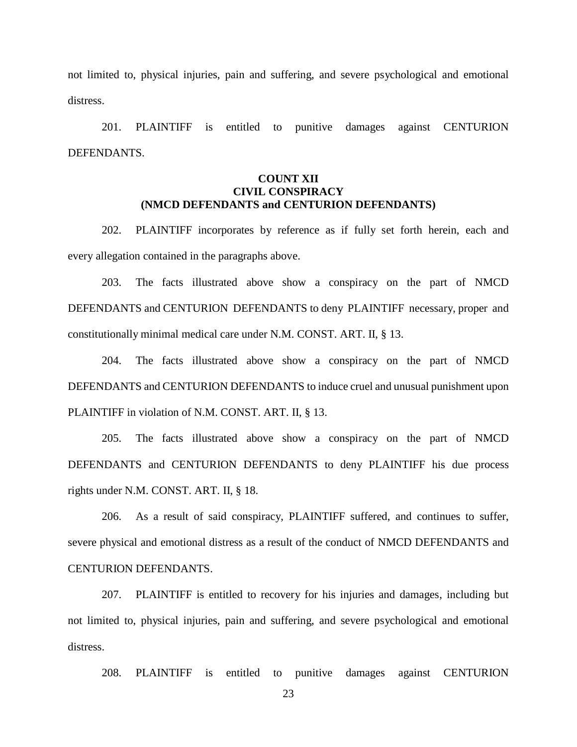not limited to, physical injuries, pain and suffering, and severe psychological and emotional distress.

201. PLAINTIFF is entitled to punitive damages against CENTURION DEFENDANTS.

# **COUNT XII CIVIL CONSPIRACY (NMCD DEFENDANTS and CENTURION DEFENDANTS)**

202. PLAINTIFF incorporates by reference as if fully set forth herein, each and every allegation contained in the paragraphs above.

203. The facts illustrated above show a conspiracy on the part of NMCD DEFENDANTS and CENTURION DEFENDANTS to deny PLAINTIFF necessary, proper and constitutionally minimal medical care under N.M. CONST. ART. II, § 13.

204. The facts illustrated above show a conspiracy on the part of NMCD DEFENDANTS and CENTURION DEFENDANTS to induce cruel and unusual punishment upon PLAINTIFF in violation of N.M. CONST. ART. II, § 13.

205. The facts illustrated above show a conspiracy on the part of NMCD DEFENDANTS and CENTURION DEFENDANTS to deny PLAINTIFF his due process rights under N.M. CONST. ART. II, § 18.

206. As a result of said conspiracy, PLAINTIFF suffered, and continues to suffer, severe physical and emotional distress as a result of the conduct of NMCD DEFENDANTS and CENTURION DEFENDANTS.

207. PLAINTIFF is entitled to recovery for his injuries and damages, including but not limited to, physical injuries, pain and suffering, and severe psychological and emotional distress.

208. PLAINTIFF is entitled to punitive damages against CENTURION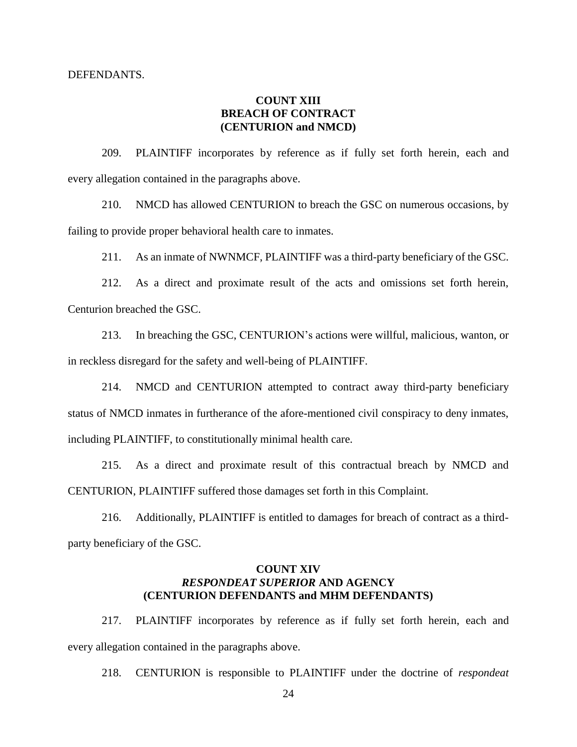# **COUNT XIII BREACH OF CONTRACT (CENTURION and NMCD)**

209. PLAINTIFF incorporates by reference as if fully set forth herein, each and every allegation contained in the paragraphs above.

210. NMCD has allowed CENTURION to breach the GSC on numerous occasions, by failing to provide proper behavioral health care to inmates.

211. As an inmate of NWNMCF, PLAINTIFF was a third-party beneficiary of the GSC.

212. As a direct and proximate result of the acts and omissions set forth herein, Centurion breached the GSC.

213. In breaching the GSC, CENTURION's actions were willful, malicious, wanton, or in reckless disregard for the safety and well-being of PLAINTIFF.

214. NMCD and CENTURION attempted to contract away third-party beneficiary status of NMCD inmates in furtherance of the afore-mentioned civil conspiracy to deny inmates, including PLAINTIFF, to constitutionally minimal health care.

215. As a direct and proximate result of this contractual breach by NMCD and CENTURION, PLAINTIFF suffered those damages set forth in this Complaint.

216. Additionally, PLAINTIFF is entitled to damages for breach of contract as a thirdparty beneficiary of the GSC.

#### **COUNT XIV** *RESPONDEAT SUPERIOR* **AND AGENCY (CENTURION DEFENDANTS and MHM DEFENDANTS)**

217. PLAINTIFF incorporates by reference as if fully set forth herein, each and every allegation contained in the paragraphs above.

218. CENTURION is responsible to PLAINTIFF under the doctrine of *respondeat*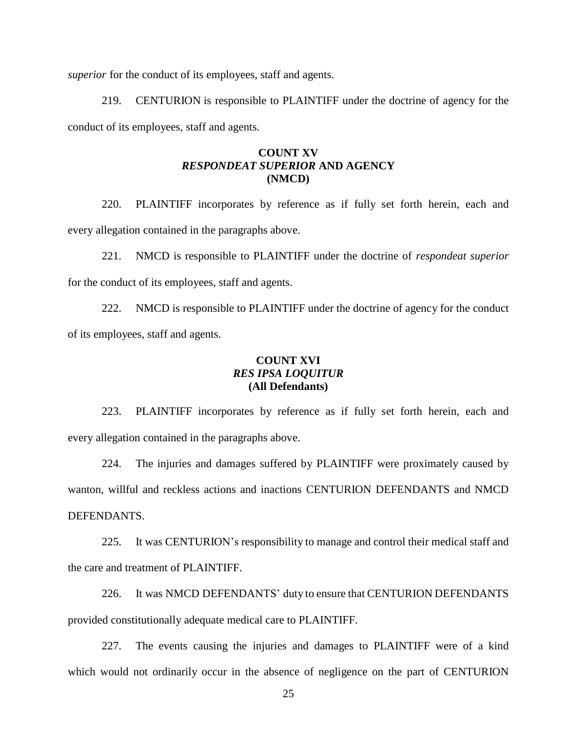*superior* for the conduct of its employees, staff and agents.

219. CENTURION is responsible to PLAINTIFF under the doctrine of agency for the conduct of its employees, staff and agents.

## **COUNT XV** *RESPONDEAT SUPERIOR* **AND AGENCY (NMCD)**

220. PLAINTIFF incorporates by reference as if fully set forth herein, each and every allegation contained in the paragraphs above.

221. NMCD is responsible to PLAINTIFF under the doctrine of *respondeat superior* for the conduct of its employees, staff and agents.

222. NMCD is responsible to PLAINTIFF under the doctrine of agency for the conduct of its employees, staff and agents.

# **COUNT XVI** *RES IPSA LOQUITUR* **(All Defendants)**

223. PLAINTIFF incorporates by reference as if fully set forth herein, each and every allegation contained in the paragraphs above.

224. The injuries and damages suffered by PLAINTIFF were proximately caused by wanton, willful and reckless actions and inactions CENTURION DEFENDANTS and NMCD DEFENDANTS.

225. It was CENTURION's responsibility to manage and control their medical staff and the care and treatment of PLAINTIFF.

226. It was NMCD DEFENDANTS' duty to ensure that CENTURION DEFENDANTS provided constitutionally adequate medical care to PLAINTIFF.

227. The events causing the injuries and damages to PLAINTIFF were of a kind which would not ordinarily occur in the absence of negligence on the part of CENTURION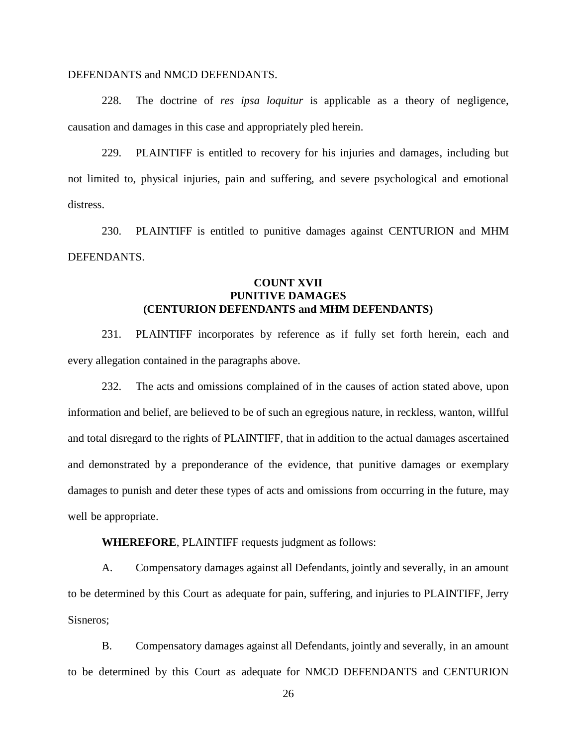#### DEFENDANTS and NMCD DEFENDANTS.

228. The doctrine of *res ipsa loquitur* is applicable as a theory of negligence, causation and damages in this case and appropriately pled herein.

229. PLAINTIFF is entitled to recovery for his injuries and damages, including but not limited to, physical injuries, pain and suffering, and severe psychological and emotional distress.

230. PLAINTIFF is entitled to punitive damages against CENTURION and MHM DEFENDANTS.

# **COUNT XVII PUNITIVE DAMAGES (CENTURION DEFENDANTS and MHM DEFENDANTS)**

231. PLAINTIFF incorporates by reference as if fully set forth herein, each and every allegation contained in the paragraphs above.

232. The acts and omissions complained of in the causes of action stated above, upon information and belief, are believed to be of such an egregious nature, in reckless, wanton, willful and total disregard to the rights of PLAINTIFF, that in addition to the actual damages ascertained and demonstrated by a preponderance of the evidence, that punitive damages or exemplary damages to punish and deter these types of acts and omissions from occurring in the future, may well be appropriate.

**WHEREFORE**, PLAINTIFF requests judgment as follows:

A. Compensatory damages against all Defendants, jointly and severally, in an amount to be determined by this Court as adequate for pain, suffering, and injuries to PLAINTIFF, Jerry Sisneros;

B. Compensatory damages against all Defendants, jointly and severally, in an amount to be determined by this Court as adequate for NMCD DEFENDANTS and CENTURION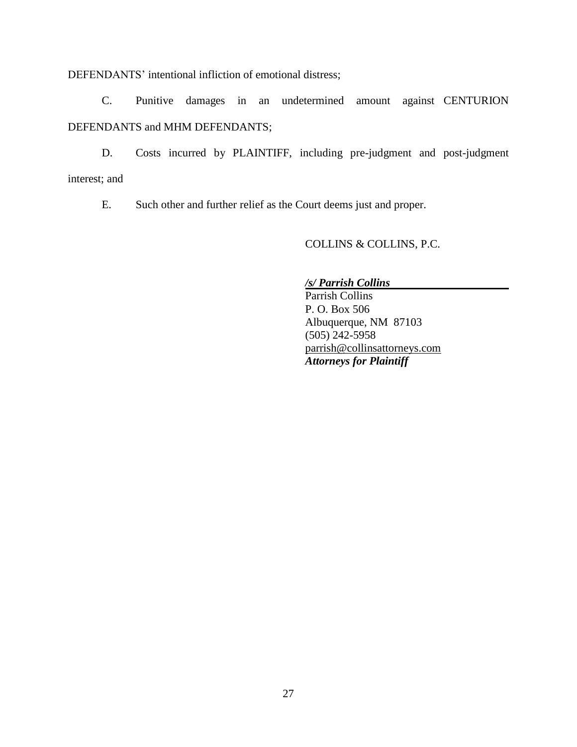DEFENDANTS' intentional infliction of emotional distress;

C. Punitive damages in an undetermined amount against CENTURION DEFENDANTS and MHM DEFENDANTS;

D. Costs incurred by PLAINTIFF, including pre-judgment and post-judgment interest; and

E. Such other and further relief as the Court deems just and proper.

COLLINS & COLLINS, P.C.

# */s/ Parrish Collins*

Parrish Collins P. O. Box 506 Albuquerque, NM 87103 (505) 242-5958 [parrish@collinsattorneys.com](mailto:parrish@collinsattorneys.com) *Attorneys for Plaintiff*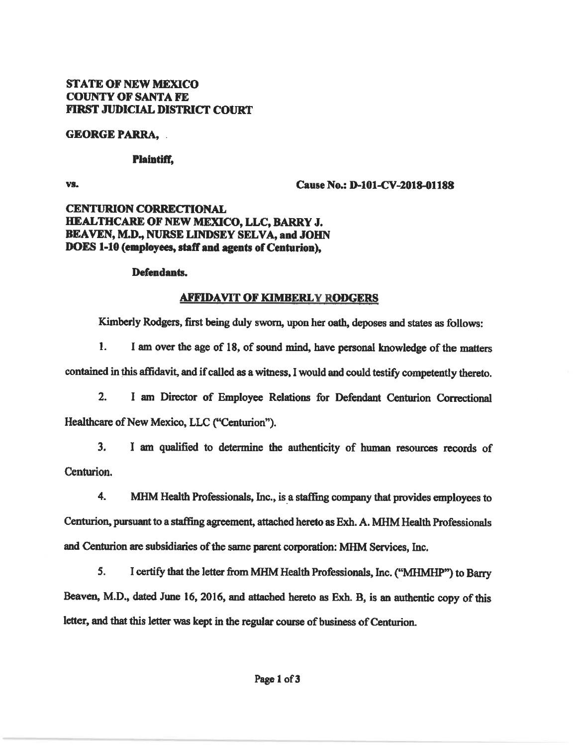# **STATE OF NEW MEXICO COUNTY OF SANTA FE FIRST JUDICIAL DISTRICT COURT**

#### **GEORGE PARRA.**

#### **Plaintiff.**

VS.

Cause No.: D-101-CV-2018-01188

# **CENTURION CORRECTIONAL** HEALTHCARE OF NEW MEXICO, LLC, BARRY J. BEAVEN, M.D., NURSE LINDSEY SELVA, and JOHN DOES 1-10 (employees, staff and agents of Centurion),

#### Defendants.

# **AFFIDAVIT OF KIMBERLY RODGERS**

Kimberly Rodgers, first being duly sworn, upon her oath, deposes and states as follows:

 $\mathbf{1}$ I am over the age of 18, of sound mind, have personal knowledge of the matters contained in this affidavit, and if called as a witness, I would and could testify competently thereto.

 $2.$ I am Director of Employee Relations for Defendant Centurion Correctional Healthcare of New Mexico, LLC ("Centurion").

 $3.$ I am qualified to determine the authenticity of human resources records of Centurion.

4. MHM Health Professionals, Inc., is a staffing company that provides employees to Centurion, pursuant to a staffing agreement, attached hereto as Exh. A. MHM Health Professionals and Centurion are subsidiaries of the same parent corporation: MHM Services, Inc.

5. I certify that the letter from MHM Health Professionals, Inc. ("MHMHP") to Barry Beaven, M.D., dated June 16, 2016, and attached hereto as Exh. B, is an authentic copy of this letter, and that this letter was kept in the regular course of business of Centurion.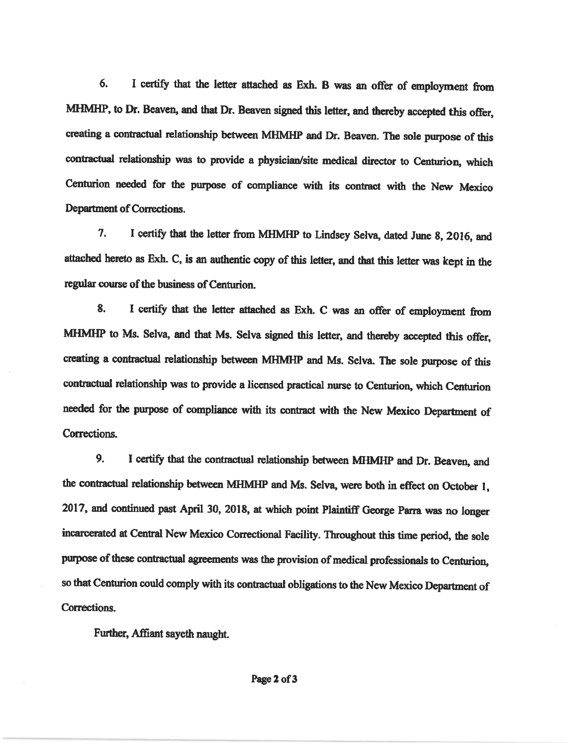I certify that the letter attached as Exh. B was an offer of employment from 6. MHMHP, to Dr. Beaven, and that Dr. Beaven signed this letter, and thereby accepted this offer. creating a contractual relationship between MHMHP and Dr. Beaven. The sole purpose of this contractual relationship was to provide a physician/site medical director to Centurion, which Centurion needed for the purpose of compliance with its contract with the New Mexico Department of Corrections.

7. I certify that the letter from MHMHP to Lindsey Selva, dated June 8, 2016, and attached hereto as Exh. C, is an authentic copy of this letter, and that this letter was kept in the regular course of the business of Centurion.

8. I certify that the letter attached as Exh. C was an offer of employment from MHMHP to Ms. Selva, and that Ms. Selva signed this letter, and thereby accepted this offer, creating a contractual relationship between MHMHP and Ms. Selva. The sole purpose of this contractual relationship was to provide a licensed practical nurse to Centurion, which Centurion needed for the purpose of compliance with its contract with the New Mexico Department of Corrections.

 $9<sub>1</sub>$ I certify that the contractual relationship between MHMHP and Dr. Beaven, and the contractual relationship between MHMHP and Ms. Selva, were both in effect on October 1. 2017, and continued past April 30, 2018, at which point Plaintiff George Parra was no longer incarcerated at Central New Mexico Correctional Facility. Throughout this time period, the sole purpose of these contractual agreements was the provision of medical professionals to Centurion, so that Centurion could comply with its contractual obligations to the New Mexico Department of Corrections.

Further, Affiant sayeth naught.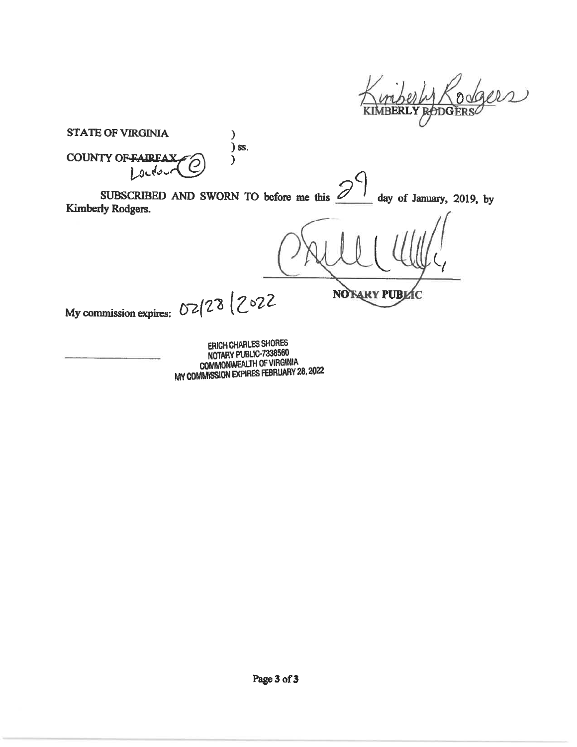$\omega$ 

**STATE OF VIRGINIA**  $\mathcal{Y}$ ) ss. **COUNTY OF FAIREAX**  $\mathcal{Y}$ Lochour SUBSCRIBED AND SWORN TO before me this  $\mathcal C$ day of January, 2019, by Kimberly Rodgers. **NOTARY PUB** My commission expires:  $02/28$   $202$ C ERICH CHARLES SHORES NOTARY PUBLIC-7338560 COMMONWEALTH OF VIRGINIA MY COMMISSION EXPIRES FEBRUARY 28, 2022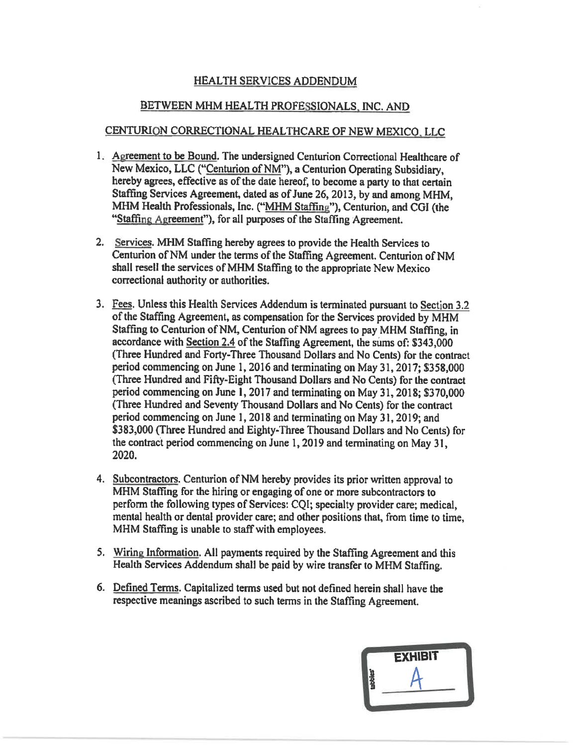# **HEALTH SERVICES ADDENDUM**

# BETWEEN MHM HEALTH PROFESSIONALS, INC. AND

#### CENTURION CORRECTIONAL HEALTHCARE OF NEW MEXICO, LLC

- 1. Agreement to be Bound. The undersigned Centurion Correctional Healthcare of New Mexico, LLC ("Centurion of NM"), a Centurion Operating Subsidiary, hereby agrees, effective as of the date hereof, to become a party to that certain Staffing Services Agreement, dated as of June 26, 2013, by and among MHM, MHM Health Professionals, Inc. ("MHM Staffing"), Centurion, and CGI (the "Staffing Agreement"), for all purposes of the Staffing Agreement.
- 2. Services. MHM Staffing hereby agrees to provide the Health Services to Centurion of NM under the terms of the Staffing Agreement. Centurion of NM shall resell the services of MHM Staffing to the appropriate New Mexico correctional authority or authorities.
- 3. Fees. Unless this Health Services Addendum is terminated pursuant to Section 3.2 of the Staffing Agreement, as compensation for the Services provided by MHM Staffing to Centurion of NM, Centurion of NM agrees to pay MHM Staffing. in accordance with Section 2.4 of the Staffing Agreement, the sums of: \$343,000 (Three Hundred and Forty-Three Thousand Dollars and No Cents) for the contract period commencing on June 1, 2016 and terminating on May 31, 2017; \$358,000 (Three Hundred and Fifty-Eight Thousand Dollars and No Cents) for the contract period commencing on June 1, 2017 and terminating on May 31, 2018; \$370,000 (Three Hundred and Seventy Thousand Dollars and No Cents) for the contract period commencing on June 1, 2018 and terminating on May 31, 2019; and \$383,000 (Three Hundred and Eighty-Three Thousand Dollars and No Cents) for the contract period commencing on June 1, 2019 and terminating on May 31, 2020.
- 4. Subcontractors. Centurion of NM hereby provides its prior written approval to MHM Staffing for the hiring or engaging of one or more subcontractors to perform the following types of Services: CQI; specialty provider care; medical, mental health or dental provider care; and other positions that, from time to time, MHM Staffing is unable to staff with employees.
- 5. Wiring Information. All payments required by the Staffing Agreement and this Health Services Addendum shall be paid by wire transfer to MHM Staffing.
- 6. Defined Terms. Capitalized terms used but not defined herein shall have the respective meanings ascribed to such terms in the Staffing Agreement.

|                      | <b>EXHIBIT</b> |  |
|----------------------|----------------|--|
| tabbles <sup>®</sup> |                |  |
|                      |                |  |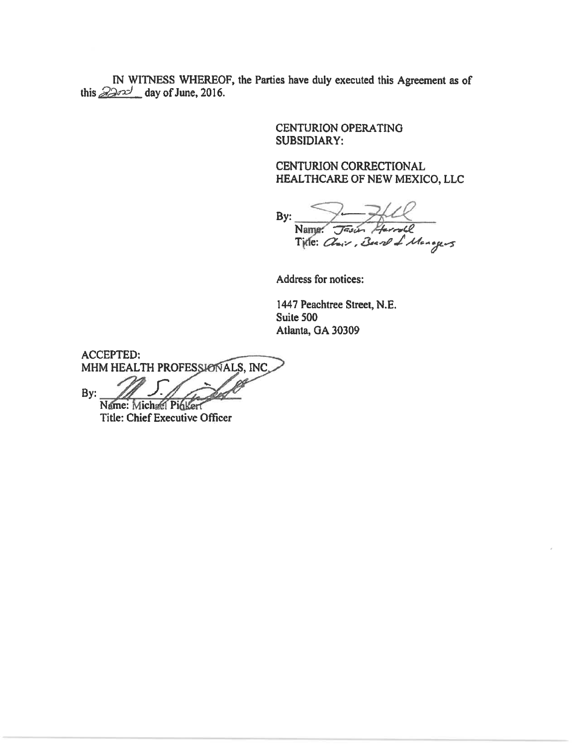IN WITNESS WHEREOF, the Parties have duly executed this Agreement as of this  $222$  day of June, 2016.

> **CENTURION OPERATING SUBSIDIARY:**

CENTURION CORRECTIONAL HEALTHCARE OF NEW MEXICO, LLC

Name. Tasin Harrold<br>Title: Cheir, Beard & Managers By:

Address for notices:

1447 Peachtree Street, N.E. Suite 500 Atlanta, GA 30309

**ACCEPTED:** MHM HEALTH PROFESSIONALS, INC.  $By:$ 

Name: Michael Pinkert **Title: Chief Executive Officer**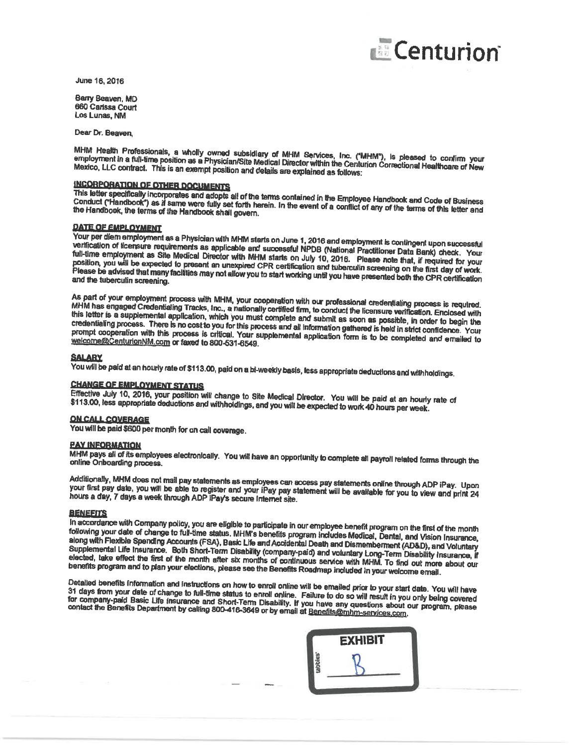

June 16, 2016

Barry Beaven, MD 660 Carissa Court Los Lunas, NM

Dear Dr. Beaven.

MHM Health Professionals, a wholly owned subsidiary of MHM Services, Inc. ("MHM"), is pleased to confirm your employment in a full-time position as a Physician/Site Medical Director within the Centurion Correctional Healthcare of New Mexico, LLC contract. This is an exempt position and details are explained as follows:

#### **INCORPORATION OF OTHER DOCUMENTS**

This letter specifically incorporates and adopts all of the terms contained in the Employee Handbook and Code of Business Conduct ("Handbook") as if same were fully set forth herein. In the event of a conflict of any of the terms of this letter and the Handbook, the terms of the Handbook shall govern.

#### **DATE OF EMPLOYMENT**

Your per diem employment as a Physician with MHM starts on June 1, 2016 and employment is contingent upon successful verification of licensure requirements as applicable and successful NPDB (National Practitioner Data Bank) check. Your full-time employment as Site Medical Director with MHM starts on July 10, 2016. Please note that, if required for your position, you will be expected to present an unexpired CPR certification and tuberculin screening on the first day of work. Please be advised that many facilities may not allow you to start working until you have presented both the CPR certification and the tuberculin screening.

As part of your employment process with MHM, your cooperation with our professional credentialing process is required. MHM has engaged Credentialing Tracks, Inc., a nationally certified firm, to conduct the licensure verification. Enclosed with this letter is a supplemental application, which you must complete and submit as soon as possible, in order to begin the credentialing process. There is no cost to you for this process and all information gathered is held in strict confidence. Your prompt cooperation with this process is critical. Your supplemental application form is to be completed and emailed to welcome@CenturionNM.com or faxed to 800-531-6549.

#### **SALARY**

You will be paid at an hourly rate of \$113.00, paid on a bi-weekly basis, less appropriate deductions and withholdings.

#### **CHANGE OF EMPLOYMENT STATUS**

Effective July 10, 2016, your position will change to Site Medical Director. You will be paid at an hourly rate of \$113.00, less appropriate deductions and withholdings, and you will be expected to work 40 hours per week.

#### **ON CALL COVERAGE**

You will be paid \$600 per month for on call coverage.

#### **PAY INFORMATION**

MHM pays all of its employees electronically. You will have an opportunity to complete all payroll related forms through the online Onboarding process.

Additionally, MHM does not mail pay statements as employees can access pay statements online through ADP iPay. Upon your first pay date, you will be able to register and your iPay pay statement will be available for you to view and print 24 hours a day, 7 days a week through ADP iPay's secure internet site.

#### **BENEFITS**

In accordance with Company policy, you are eligible to participate in our employee benefit program on the first of the month following your date of change to full-time status. MHM's benefits program includes Medical, Dental, and Vision Insurance, along with Flexible Spending Accounts (FSA), Basic Life and Accidental Death and Dismemberment (AD&D), and Voluntary Supplemental Life Insurance. Both Short-Term Disability (company-paid) and voluntary Long-Term Disability Insurance, if elected, take effect the first of the month after six months of continuous service with MHM. To find out more about our benefits program and to plan your elections, please see the Benefits Roadmap included in your welcome email.

Detailed benefits information and instructions on how to enroll online will be emailed prior to your start date. You will have 31 days from your date of change to full-time status to enroll online. Failure to do so will result in you only being covered for company-paid Basic Life insurance and Short-Term Disability. If you have any questions about our program, please contact the Benefits Department by calling 800-416-3649 or by email at <u>Benefits@mhm-services.com</u>.

| <b>EXHIBIT</b> |
|----------------|
|                |
|                |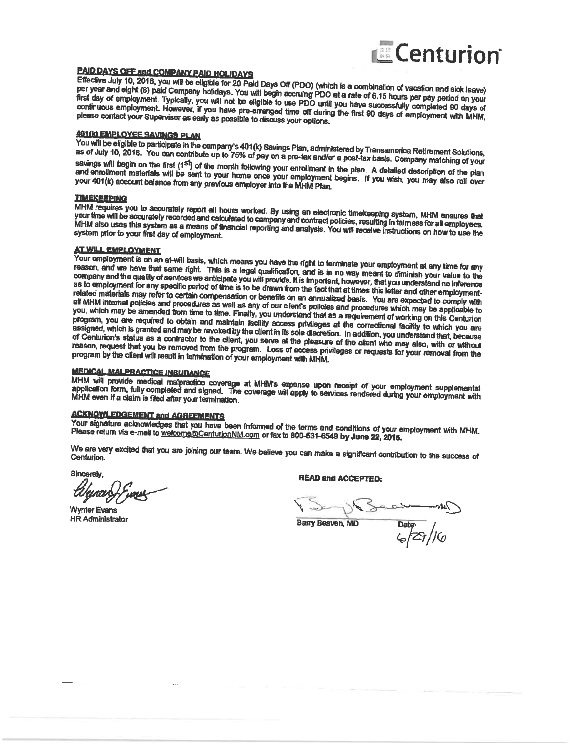

#### **PAID DAYS OFF and COMPANY PAID HOLIDAYS**

Effective July 10, 2016, you will be eligible for 20 Paid Days Off (PDO) (which is a combination of vacation and sick leave) per year and eight (8) paid Company holidays. You will begin accruing PDO at a rate of 6.15 hours per pay period on your first day of employment. Typically, you will not be eligible to use PDO until you have successfully completed 90 days of continuous employment. However, if you have pre-arranged time off during the first 90 days of employment with MNM. please contact your Supervisor as early as possible to discuss your options.

#### **401(k) EMPLOYEE SAVINGS PLAN**

You will be eligible to participate in the company's 401(k) Savings Plan, administered by Transamerica Rethrement Solutions, as of July 10, 2018. You can contribute up to 75% of pay on a pre-tax and/or a post-tax basis. Company matching of your savings will begin on the first (1<sup>st</sup>) of the month following your enrollment in the plan. A detailed description of the plan and enrollment materials will be sent to your home once your employment begins. If you wish, you may also roll over your 401(k) account balance from any previous employer into the MHM Plan.

#### **TIMEKEEPING**

MHM requires you to accurately report all hours worked. By using an electronic timekeeping system, MHM ensures that<br>your time will be accurately recorded and calculated to company and contract policies, resulting in fairne MHM also uses this system as a means of financial reporting and analysis. You will receive instructions on how to use the system prior to your first day of employment.

AT WILL EMPLOYMENT<br>Your employment is on an at-will basis, which means you have the right to terminate your employment at any time for any reason, and we have that same right. This is a legal qualification, and is in no way meant to diminish your value to the company and the quality of services we anticipate you will provide. It is important, however, that you understand no inference as to employment for any specific period of time is to be drawn from the fact that at times this letter and other employmentrelated materials may refer to certain compensation or benefits on an annualized basis. You are expected to comply with all MHM internal policies and procedures as well as any of our client's policies and procedures which may be applicable to you, which may be amended from time to time. Finally, you understand that as a requirement of working on this Centurion program, you are required to obtain and maintain facility access privileges at the correctional facility to which you are assigned, which is granted and may be revoked by the client in its sole discretion. In addition, you understand that, because of Centurion's status as a contractor to the client, you serve at the pleasure of the client who may also, with or without reason, request that you be removed from the program. Loss of access privileges or requests for your removal from the program by the client will result in termination of your employment with MHM.

#### **MEDICAL MALPRACTICE INSURANCE**

MHM will provide medical matpractice coverage at MHM's expanse upon receipt of your employment supplemental application form, fully completed and signed. The coverage will apply to services rendered during your employment with MHM even if a claim is filed after your termination.

#### **ACKNOWLEDGEMENT and AGREEMENTS**

Your signature acknowledges that you have been informed of the terms and conditions of your employment with MHM. Please return via e-mail to welcome@CenturlonNM.com or fax to 800-531-6549 by June 22, 2016.

We are very excited that you are joining our team. We believe you can make a significant contribution to the success of Centurion.

Sincerely.

**Wynter Evans HR Administrator** 

**READ and ACCEPTED:** 

 $\frac{S}{D}$  Date  $\frac{V}{1-\frac{1}{2}S^{2}}/16$ 

Barry Beaven, MD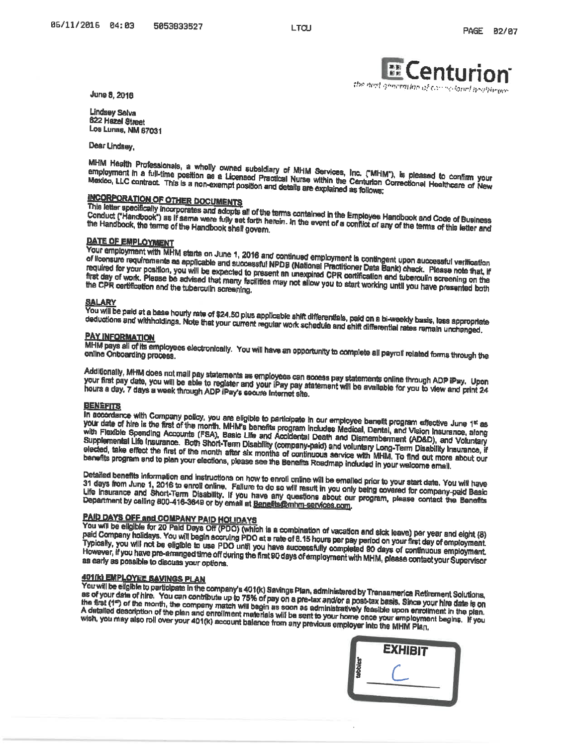**E** Centurion the next generation of complement profilement

June 8, 2016

Lindsey Selva 622 Hazel Street Los Lunas, NM 87031

Dear Lindsey,

MHM Health Professionals, a wholly owned subsidiary of MHM Services, Inc. ("MHM"), is pleased to confirm your employment in a full-time position as a Licensed Practical Nurse within the Centurion Correctional Healthcare of New Mexico, LLC contract. This is a non-exempt position and details are explained as follows:

# **INCORPORATION OF OTHER DOCUMENTS**

This letter specifically incorporates and adopts all of the terms contained in the Employee Handbook and Code of Business Conduct ("Handbook") as if same were fully set forth herein. In the event of a conflict of any of the terms of this letter and the Handbook, the terms of the Handbook shall govern.

# DATE OF EMPLOYMENT

Your employment with MHM starts on June 1, 2016 and continued employment is contingent upon successful verification of licensure requirements as applicable and successful NPDB (National Practitioner Data Bank) check. Please note that, if required for your position, you will be expected to present an unexpired CPR certification and tuberculin screening on the first day of work. Please be advised that many facilities may not allow you to start working until you have presented both the CPR certification and the tuberculin screening.

SALARY<br>You will be paid at a base hourly rate of \$24.50 plus applicable shift differentials, paid on a bi-waekly basis, less appropriate deductions and withholdings. Note that your current regular work schedule and shift differential rates remain unchanged.

#### **PAY INFORMATION**

MHM pays all of its employees electronically. You will have an opportunity to complete all payroli related forms through the

Additionally, MHM does not mail pay statements as employees can access pay statements online through ADP iPay. Upon your first pay date, you will be able to register and your iPay pay statement will be available for you to view and print 24 hours a day, 7 days a week through ADP IPay's socure Internet site.

#### **BENEFITS**

In accordance with Company policy, you are eligible to participate in our employee banefit program affective June 1st as your date of hire is the first of the month. MHM's benefits program includes Medical, Dental, and Vision Insurance, along with Flexible Spending Accounts (FSA), Basic Life and Accidental Death and Dismemberment (AD&D), and Voluntary Supplemental Life Insurance. Both Short-Term Disability (company-paid) and voluntary Long-Term Disability Insurance, if elected, take effect the first of the month after six months of continuous service with MHM. To find out more about our benefits program and to plan your elections, please see the Benefits Roadmap included in your welcome email.

Detailed benefits information and instructions on how to enroll online will be emailed prior to your start date. You will have 31 days from June 1, 2016 to enroll online. Failure to do so will result in you only being covered for company-paid Basic Life Insurance and Short-Term Disability. If you have any questions about our program, please contact the Benefits Department by calling 800-416-3649 or by email at Benefits@mhm-services.com.

# PAID DAYS OFF and COMPANY PAID HOLIDAYS

The Lease of the state of 20 Paid Days Off (PDC) (which is a combination of vacation and sick leave) per year and eight (8)<br>paid Company holidays. You will begin accruing PDO at a rate of 6.15 hours per pay period on your Typically, you will not be eligible to use PDO until you have successfully completed 90 days of continuous employment. However, if you have pre-enranged time off during the first 90 days of employment with MHM, please contact your Supervisor as early as possible to discuss your options.

#### 401(k) EMPLOYEE SAVINGS PLAN

You will be eligible to participate in the company's 401(k) Savings Pian, administered by Transamerica Retirement Solutions, as of your date of hire. You can contribute up to 75% of pay on a pre-tax and/or a post-tax basis. Since your hire date is on the first (1st) of the month, the company match will begin as soon as administratively feasible upon enrolment in the plan. A detailed description of the plan and enrollment materials will be sent to your home once your employment begins. If you wish, you may also roll over your 401(k) account balance from any previous employer into the MHM Plan.